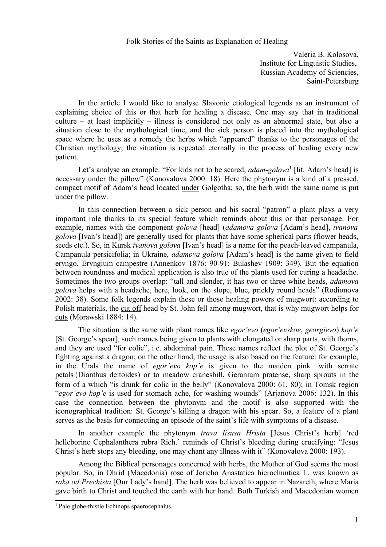## Folk Stories of the Saints as Explanation of Healing

Valeria B. Kolosova, Institute for Linguistic Studies, Russian Academy of Sciencies, Saint-Petersburg

In the article I would like to analyse Slavonic etiological legends as an instrument of explaining choice of this or that herb for healing a disease. One may say that in traditional culture – at least implicitly – illness is considered not only as an abnormal state, but also a situation close to the mythological time, and the sick person is placed into the mythological space where he uses as a remedy the herbs which "appeared" thanks to the personages of the Christian mythology; the situation is repeated eternally in the process of healing every new patient.

Let's analyse an example: "For kids not to be scared, *adam-golova*<sup>[1](#page-0-0)</sup> [lit. Adam's head] is necessary under the pillow" (Konovalova 2000: 18). Here the phytonym is a kind of a pressed, compact motif of Adam's head located under Golgotha; so, the herb with the same name is put under the pillow.

In this connection between a sick person and his sacral "patron" a plant plays a very important role thanks to its special feature which reminds about this or that personage. For example, names with the component *golova* [head] (*adamova golova* [Adam's head], *ivanova golova* [Ivan's head]) are generally used for plants that have some spherical parts (flower heads, seeds etc.). So, in Kursk *ivanova golova* [Ivan's head] is a name for the peach-leaved campanula, Campanula persicifolia; in Ukraine, *adamova golova* [Adam's head] is the name given to field eryngo, Eryngium campestre (Annenkov 1876: 90-91; Bulashev 1909: 349). But the equation between roundness and medical application is also true of the plants used for curing a headache. Sometimes the two groups overlap: "tall and slender, it has two or three white heads, *adamova golova* helps with a headache, here, look, on the slope, blue, prickly round heads" (Rodionova 2002: 38). Some folk legends explain these or those healing powers of mugwort: according to Polish materials, the cut off head by St. John fell among mugwort, that is why mugwort helps for cuts (Morawski 1884: 14).

The situation is the same with plant names like *egor'evo* (*egor'evskoe*, *georgievo*) *kop'e* [St. George's spear], such names being given to plants with elongated or sharp parts, with thorns, and they are used "for colic", i.e. abdominal pain. These names reflect the plot of St. George's fighting against a dragon; on the other hand, the usage is also based on the feature: for example, in the Urals the name of *egor'evo kop'e* is given to the maiden pink with serrate petals(Dianthus deltoides) or to meadow cranesbill, Geranium pratense, sharp sprouts in the form of a which "is drunk for colic in the belly" (Konovalova 2000: 61, 80); in Tomsk region "*egor'evo kop'e* is used for stomach ache, for washing wounds" (Arjanova 2006: 132). In this case the connection between the phytonym and the motif is also supported with the iconographical tradition: St. George's killing a dragon with his spear. So, a feature of a plant serves as the basis for connecting an episode of the saint's life with symptoms of a disease.

In another example the phytonym *trava Iisusa Hrista* [Jesus Christ's herb] 'red helleborine Cephalanthera rubra Rich.' reminds of Christ's bleeding during crucifying: "Jesus Christ's herb stops any bleeding, one may chant any illness with it" (Konovalova 2000: 193).

Among the Biblical personages concerned with herbs, the Mother of God seems the most popular. So, in Ohrid (Macedonia) rose of Jericho Anastatica hieroсhuntica L. was known as *raka od Prechista* [Our Lady's hand]. The herb was believed to appear in Nazareth, where Maria gave birth to Christ and touched the earth with her hand. Both Turkish and Macedonian women

<span id="page-0-0"></span><sup>&</sup>lt;sup>1</sup> Pale globe-thistle Echinops spaerocephalus.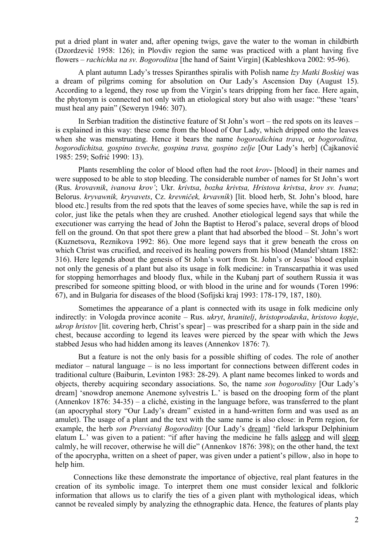put a dried plant in water and, after opening twigs, gave the water to the woman in childbirth (Dzordzević 1958: 126); in Plovdiv region the same was practiced with a plant having five flowers – *rachichka na sv. Bogoroditsa* [the hand of Saint Virgin] (Kableshkova 2002: 95-96).

A plant autumn Lady's tresses Spiranthes spiralis with Polish name *łzy Matki Boskiej* was a dream of pilgrims coming for absolution on Our Lady's Ascension Day (August 15). According to a legend, they rose up from the Virgin's tears dripping from her face. Here again, the phytonym is connected not only with an etiological story but also with usage: "these 'tears' must heal any pain" (Seweryn 1946: 307).

In Serbian tradition the distinctive feature of St John's wort – the red spots on its leaves – is explained in this way: these come from the blood of Our Lady, which dripped onto the leaves when she was menstruating. Hence it bears the name *bogorodichina trava*, or *bogoroditsa, bogorodichitsa, gospino tsveche, gospina trava, gospino zelje* [Our Lady's herb] (Čajkanović 1985: 259; Sofrić 1990: 13).

Plants resembling the color of blood often had the root *krov*- [blood] in their names and were supposed to be able to stop bleeding. The considerable number of names for St John's wort (Rus. *krovavnik*, *ivanova krov'*; Ukr. *krivtsa*, *bozha krivtsa, Hristova krivtsa*, *krov sv. Ivana*; Belorus. *kryvawnik, kryvavets*, Cz. *krevniček, krvavník*) [lit. blood herb, St. John's blood, hare blood etc.] results from the red spots that the leaves of some species have, while the sap is red in color, just like the petals when they are crushed. Another etiological legend says that while the executioner was carrying the head of John the Baptist to Herod's palace, several drops of blood fell on the ground. On that spot there grew a plant that had absorbed the blood – St. John's wort (Kuznetsova, Reznikova 1992: 86). One more legend says that it grew beneath the cross on which Christ was crucified, and received its healing powers from his blood (Mandel'shtam 1882: 316). Here legends about the genesis of St John's wort from St. John's or Jesus' blood explain not only the genesis of a plant but also its usage in folk medicine: in Transcarpathia it was used for stopping hemorrhages and bloody flux, while in the Kubanj part of southern Russia it was prescribed for someone spitting blood, or with blood in the urine and for wounds (Toren 1996: 67), and in Bulgaria for diseases of the blood (Sofijski kraj 1993: 178-179, 187, 180).

Sometimes the appearance of a plant is connected with its usage in folk medicine only indirectly: in Vologda province aconite – Rus. *ukryt*, *hranitelj*, *hristoprodavka*, *hristovo kopje*, *ukrop hristov* [lit. covering herb, Christ's spear] – was prescribed for a sharp pain in the side and chest, because according to legend its leaves were pierced by the spear with which the Jews stabbed Jesus who had hidden among its leaves (Annenkov 1876: 7).

But a feature is not the only basis for a possible shifting of codes. The role of another mediator – natural language – is no less important for connections between different codes in traditional culture (Baiburin, Levinton 1983: 28-29). A plant name becomes linked to words and objects, thereby acquiring secondary associations. So, the name *son bogoroditsy* [Our Lady's dream] 'snowdrop anemone Anemone sylvestris L.' is based on the drooping form of the plant (Annenkov 1876: 34-35) – a cliché, existing in the language before, was transferred to the plant (an apocryphal story "Our Lady's dream" existed in a hand-written form and was used as an amulet). The usage of a plant and the text with the same name is also close: in Perm region, for example, the herb *son Presviatoj Bogoroditsy* [Our Lady's dream] 'field larkspur Delphinium elatum L.' was given to a patient: "if after having the medicine he falls asleep and will sleep calmly, he will recover, otherwise he will die" (Annenkov 1876: 398); on the other hand, the text of the apocrypha, written on a sheet of paper, was given under a patient's pillow, also in hope to help him.

Connections like these demonstrate the importance of objective, real plant features in the creation of its symbolic image. To interpret them one must consider lexical and folkloric information that allows us to clarify the ties of a given plant with mythological ideas, which cannot be revealed simply by analyzing the ethnographic data. Hence, the features of plants play